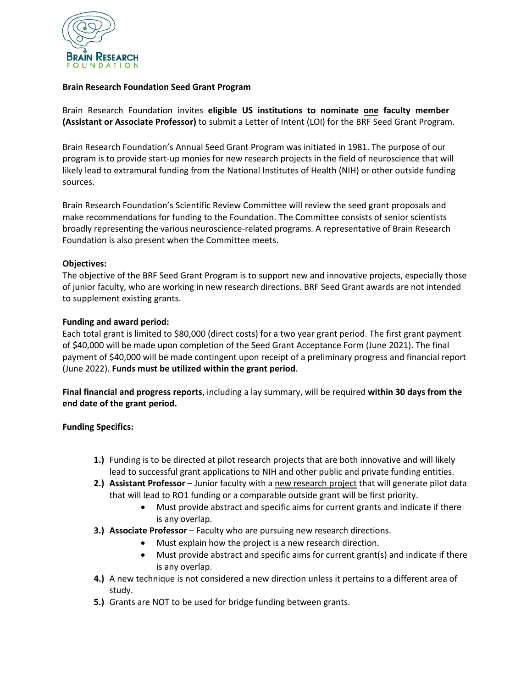

#### **Brain Research Foundation Seed Grant Program**

Brain Research Foundation invites **eligible US institutions to nominate one faculty member (Assistant or Associate Professor)** to submit a Letter of Intent (LOI) for the BRF Seed Grant Program.

Brain Research Foundation's Annual Seed Grant Program was initiated in 1981. The purpose of our program is to provide start-up monies for new research projects in the field of neuroscience that will likely lead to extramural funding from the National Institutes of Health (NIH) or other outside funding sources.

Brain Research Foundation's Scientific Review Committee will review the seed grant proposals and make recommendations for funding to the Foundation. The Committee consists of senior scientists broadly representing the various neuroscience-related programs. A representative of Brain Research Foundation is also present when the Committee meets.

### **Objectives:**

The objective of the BRF Seed Grant Program is to support new and innovative projects, especially those of junior faculty, who are working in new research directions. BRF Seed Grant awards are not intended to supplement existing grants.

### **Funding and award period:**

Each total grant is limited to \$80,000 (direct costs) for a two year grant period. The first grant payment of \$40,000 will be made upon completion of the Seed Grant Acceptance Form (June 2021). The final payment of \$40,000 will be made contingent upon receipt of a preliminary progress and financial report (June 2022). **Funds must be utilized within the grant period**.

**Final financial and progress reports**, including a lay summary, will be required **within 30 days from the end date of the grant period.** 

### **Funding Specifics:**

- **1.)** Funding is to be directed at pilot research projects that are both innovative and will likely lead to successful grant applications to NIH and other public and private funding entities.
- **2.) Assistant Professor** Junior faculty with a new research project that will generate pilot data that will lead to RO1 funding or a comparable outside grant will be first priority.
	- Must provide abstract and specific aims for current grants and indicate if there is any overlap.
- **3.) Associate Professor** Faculty who are pursuing new research directions.
	- Must explain how the project is a new research direction.
	- Must provide abstract and specific aims for current grant(s) and indicate if there is any overlap.
- **4.)** A new technique is not considered a new direction unless it pertains to a different area of study.
- **5.)** Grants are NOT to be used for bridge funding between grants.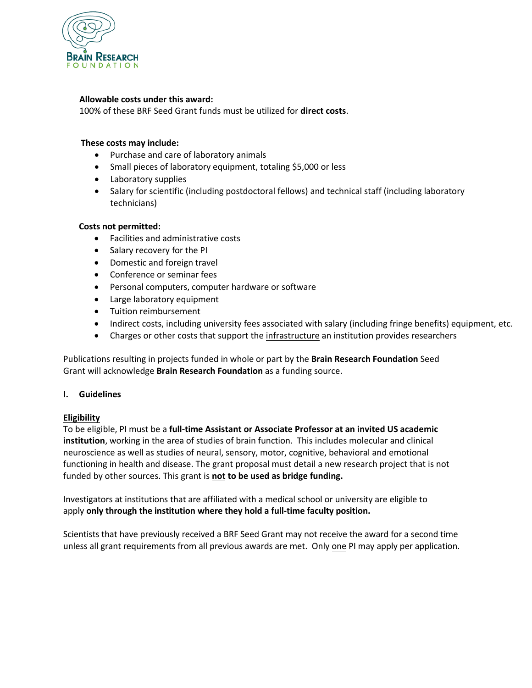

### **Allowable costs under this award:**

100% of these BRF Seed Grant funds must be utilized for **direct costs**.

#### **These costs may include:**

- Purchase and care of laboratory animals
- Small pieces of laboratory equipment, totaling \$5,000 or less
- Laboratory supplies
- Salary for scientific (including postdoctoral fellows) and technical staff (including laboratory technicians)

### **Costs not permitted:**

- Facilities and administrative costs
- Salary recovery for the PI
- Domestic and foreign travel
- Conference or seminar fees
- Personal computers, computer hardware or software
- Large laboratory equipment
- Tuition reimbursement
- Indirect costs, including university fees associated with salary (including fringe benefits) equipment, etc.
- Charges or other costs that support the infrastructure an institution provides researchers

Publications resulting in projects funded in whole or part by the **Brain Research Foundation** Seed Grant will acknowledge **Brain Research Foundation** as a funding source.

### **I. Guidelines**

### **Eligibility**

To be eligible, PI must be a **full-time Assistant or Associate Professor at an invited US academic institution**, working in the area of studies of brain function. This includes molecular and clinical neuroscience as well as studies of neural, sensory, motor, cognitive, behavioral and emotional functioning in health and disease. The grant proposal must detail a new research project that is not funded by other sources. This grant is **not to be used as bridge funding.**

Investigators at institutions that are affiliated with a medical school or university are eligible to apply **only through the institution where they hold a full-time faculty position.**

Scientists that have previously received a BRF Seed Grant may not receive the award for a second time unless all grant requirements from all previous awards are met. Only one PI may apply per application.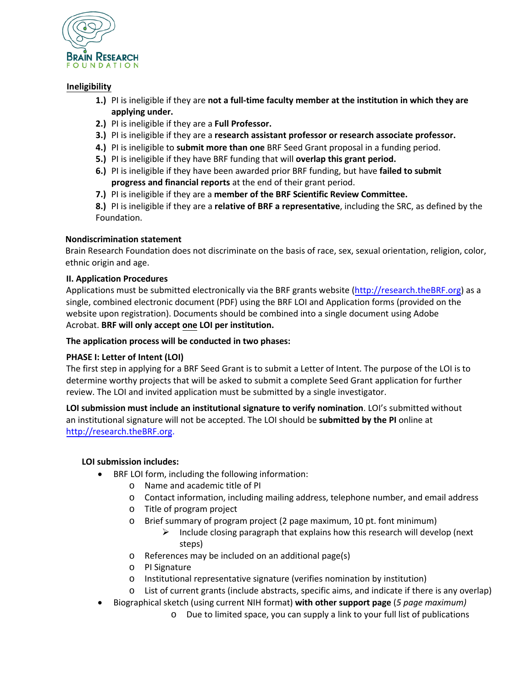

### **Ineligibility**

- **1.)** PI is ineligible if they are **not a full-time faculty member at the institution in which they are applying under.**
- **2.)** PI is ineligible if they are a **Full Professor.**
- **3.)** PI is ineligible if they are a **research assistant professor or research associate professor.**
- **4.)** PI is ineligible to **submit more than one** BRF Seed Grant proposal in a funding period.
- **5.)** PI is ineligible if they have BRF funding that will **overlap this grant period.**
- **6.)** PI is ineligible if they have been awarded prior BRF funding, but have **failed to submit progress and financial reports** at the end of their grant period.
- **7.)** PI is ineligible if they are a **member of the BRF Scientific Review Committee.**

**8.)** PI is ineligible if they are a **relative of BRF a representative**, including the SRC, as defined by the Foundation.

# **Nondiscrimination statement**

Brain Research Foundation does not discriminate on the basis of race, sex, sexual orientation, religion, color, ethnic origin and age.

# **II. [Application Procedures](http://research.thebrf.org/)**

Applications must be submitted electronically via the BRF grants website [\(http://research.theBRF.org\)](http://research.thebrf.org/) as a single, combined electronic document (PDF) using the BRF LOI and Application forms (provided on the website upon registration). Documents should be combined into a single document using Adobe Acrobat. **BRF will only accept one LOI per institution.**

**The application process will be conducted in two phases:** 

# **PHASE I: Letter of Intent (LOI)**

The first step in applying for a BRF Seed Grant is to submit a Letter of Intent. The purpose of the LOI is to determine worthy projects that will be asked to submit a complete Seed Grant application for further review. The LOI and invited application must be submitted by a single investigator.

**LOI submission must include an institutional signature to verify nomination**. LOI's submitted without an institutional signature will not be accepted. The LOI should be **submitted by the PI** online at http://research.theBRF.org.

### **LOI submission includes:**

- BRF LOI form, including the following information:
	- o Name and academic title of PI
	- o Contact information, including mailing address, telephone number, and email address
	- o Title of program project
	- o Brief summary of program project (2 page maximum, 10 pt. font minimum)
		- $\triangleright$  Include closing paragraph that explains how this research will develop (next steps)
	- o References may be included on an additional page(s)
	- o PI Signature
	- o Institutional representative signature (verifies nomination by institution)
	- o List of current grants (include abstracts, specific aims, and indicate if there is any overlap)
- Biographical sketch (using current NIH format) **with other support page** (*5 page maximum)*
	- o Due to limited space, you can supply a link to your full list of publications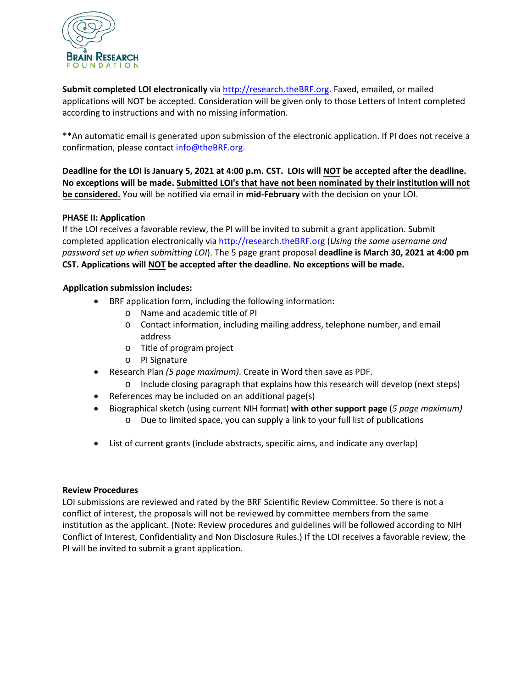

**Submit completed LOI electronically** via http://research.theBRF.org. Faxed, emailed, or mailed applications will NOT be accepted. Consideration will be given only to those Letters of Intent completed according to instructions and with no missing information.

\*\*An automatic email is generated upon submission of the electronic application. If PI does not receive a confirmation, please contact info@theBRF.org.

**Deadline for the LOI is January 5, 2021 at 4:00 p.m. CST. LOIs will NOT be accepted after the deadline. No exceptions will be made. Submitted LOI's that have not been nominated by their institution will not be considered.** You will be notified via email in **mid-February** with the decision on your LOI.

# **PHASE II: Application**

If the LOI receives a favorable review, the PI will be invited to submit a grant application. Submit completed application electronically via [http://research.theBRF.org](http://research.thebrf.org/) (*Using the same username and password set up when submitting LOI*). The 5 page grant proposal **deadline is March 30, 2021 at 4:00 pm CST. Applications will NOT be accepted after the deadline. No exceptions will be made.** 

### **Application submission includes:**

- BRF application form, including the following information:
	- o Name and academic title of PI
	- o Contact information, including mailing address, telephone number, and email address
	- o Title of program project
	- o PI Signature
- Research Plan *(5 page maximum)*. Create in Word then save as PDF.
- o Include closing paragraph that explains how this research will develop (next steps)
- References may be included on an additional page(s)
- Biographical sketch (using current NIH format) **with other support page** (*5 page maximum)*
	- o Due to limited space, you can supply a link to your full list of publications
- List of current grants (include abstracts, specific aims, and indicate any overlap)

### **Review Procedures**

LOI submissions are reviewed and rated by the BRF Scientific Review Committee. So there is not a conflict of interest, the proposals will not be reviewed by committee members from the same institution as the applicant. (Note: Review procedures and guidelines will be followed according to NIH Conflict of Interest, Confidentiality and Non Disclosure Rules.) If the LOI receives a favorable review, the PI will be invited to submit a grant application.